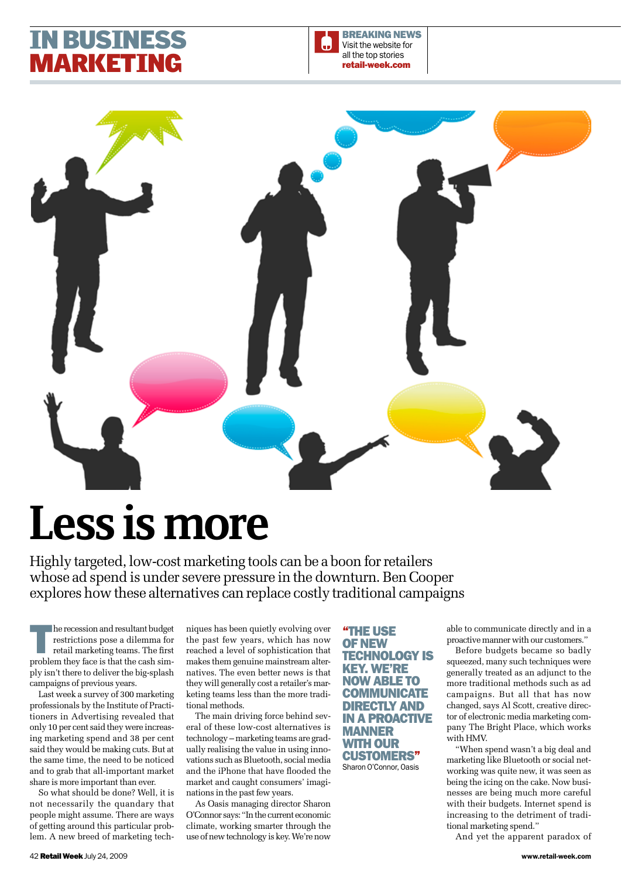## **i busin IARKET**



# Less is more

Highly targeted, low-cost marketing tools can be a boon for retailers whose ad spend is under severe pressure in the downturn. Ben Cooper explores how these alternatives can replace costly traditional campaigns

The recession and resultant budget<br>restrictions pose a dilemma for<br>retail marketing teams. The first restrictions pose a dilemma for retail marketing teams. The first problem they face is that the cash simply isn't there to deliver the big-splash campaigns of previous years.

Last week a survey of 300 marketing professionals by the Institute of Practitioners in Advertising revealed that only 10 per cent said they were increasing marketing spend and 38 per cent said they would be making cuts. But at the same time, the need to be noticed and to grab that all-important market share is more important than ever.

So what should be done? Well, it is not necessarily the quandary that people might assume. There are ways of getting around this particular problem. A new breed of marketing techniques has been quietly evolving over the past few years, which has now reached a level of sophistication that makes them genuine mainstream alternatives. The even better news is that they will generally cost a retailer's marketing teams less than the more traditional methods.

The main driving force behind several of these low-cost alternatives is technology – marketing teams are gradually realising the value in using innovations such as Bluetooth, social media and the iPhone that have flooded the market and caught consumers' imaginations in the past few years.

As Oasis managing director Sharon O'Connor says: "In the current economic climate, working smarter through the use of new technology is key. We're now

"the use of new **TECHNOLOGY IS** key. We're now able to **COMMUNICATE** directly and in a proactive **MANNER** with our customers" Sharon O'Connor, Oasis

able to communicate directly and in a proactive manner with our customers."

Before budgets became so badly squeezed, many such techniques were generally treated as an adjunct to the more traditional methods such as ad campaigns. But all that has now changed, says Al Scott, creative director of electronic media marketing company The Bright Place, which works with HMV.

"When spend wasn't a big deal and marketing like Bluetooth or social networking was quite new, it was seen as being the icing on the cake. Now businesses are being much more careful with their budgets. Internet spend is increasing to the detriment of traditional marketing spend."

And yet the apparent paradox of